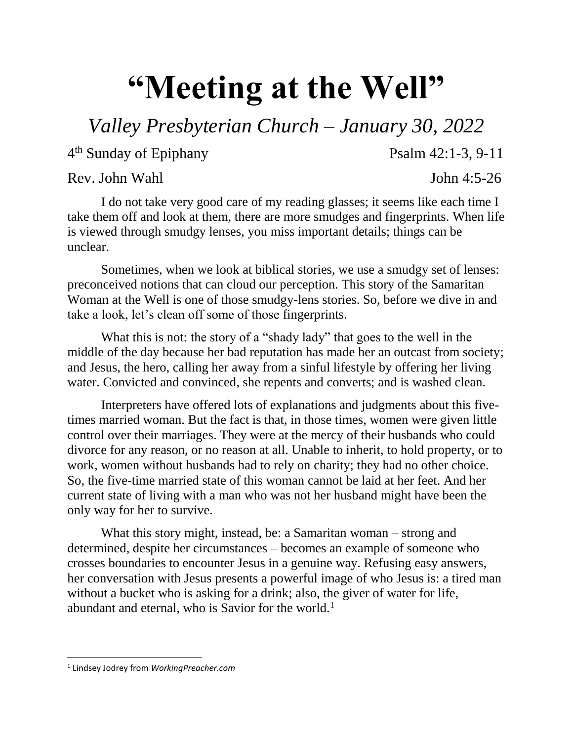## **"Meeting at the Well"**

## *Valley Presbyterian Church – January 30, 2022*

4 th Sunday of Epiphany Psalm 42:1-3, 9-11

## Rev. John Wahl John 4:5-26

I do not take very good care of my reading glasses; it seems like each time I take them off and look at them, there are more smudges and fingerprints. When life is viewed through smudgy lenses, you miss important details; things can be unclear.

Sometimes, when we look at biblical stories, we use a smudgy set of lenses: preconceived notions that can cloud our perception. This story of the Samaritan Woman at the Well is one of those smudgy-lens stories. So, before we dive in and take a look, let's clean off some of those fingerprints.

What this is not: the story of a "shady lady" that goes to the well in the middle of the day because her bad reputation has made her an outcast from society; and Jesus, the hero, calling her away from a sinful lifestyle by offering her living water. Convicted and convinced, she repents and converts; and is washed clean.

Interpreters have offered lots of explanations and judgments about this fivetimes married woman. But the fact is that, in those times, women were given little control over their marriages. They were at the mercy of their husbands who could divorce for any reason, or no reason at all. Unable to inherit, to hold property, or to work, women without husbands had to rely on charity; they had no other choice. So, the five-time married state of this woman cannot be laid at her feet. And her current state of living with a man who was not her husband might have been the only way for her to survive.

What this story might, instead, be: a Samaritan woman – strong and determined, despite her circumstances – becomes an example of someone who crosses boundaries to encounter Jesus in a genuine way. Refusing easy answers, her conversation with Jesus presents a powerful image of who Jesus is: a tired man without a bucket who is asking for a drink; also, the giver of water for life, abundant and eternal, who is Savior for the world.<sup>1</sup>

 $\overline{\phantom{a}}$ 1 Lindsey Jodrey from *WorkingPreacher.com*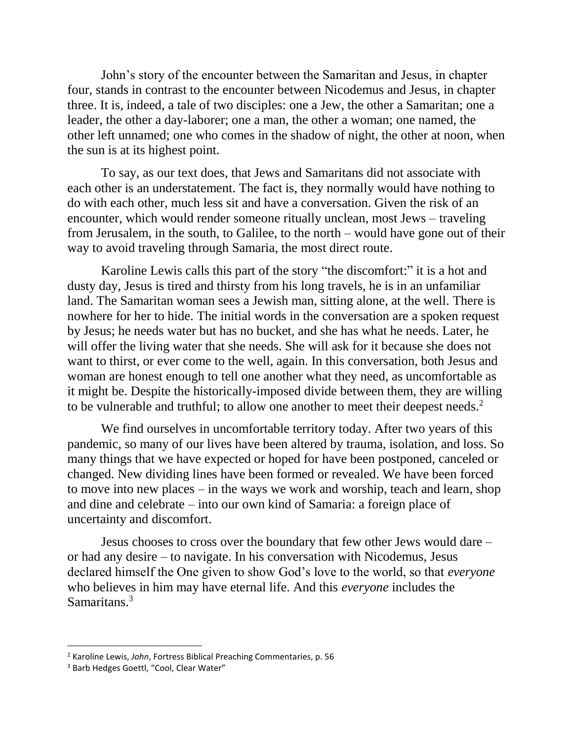John's story of the encounter between the Samaritan and Jesus, in chapter four, stands in contrast to the encounter between Nicodemus and Jesus, in chapter three. It is, indeed, a tale of two disciples: one a Jew, the other a Samaritan; one a leader, the other a day-laborer; one a man, the other a woman; one named, the other left unnamed; one who comes in the shadow of night, the other at noon, when the sun is at its highest point.

To say, as our text does, that Jews and Samaritans did not associate with each other is an understatement. The fact is, they normally would have nothing to do with each other, much less sit and have a conversation. Given the risk of an encounter, which would render someone ritually unclean, most Jews – traveling from Jerusalem, in the south, to Galilee, to the north – would have gone out of their way to avoid traveling through Samaria, the most direct route.

Karoline Lewis calls this part of the story "the discomfort:" it is a hot and dusty day, Jesus is tired and thirsty from his long travels, he is in an unfamiliar land. The Samaritan woman sees a Jewish man, sitting alone, at the well. There is nowhere for her to hide. The initial words in the conversation are a spoken request by Jesus; he needs water but has no bucket, and she has what he needs. Later, he will offer the living water that she needs. She will ask for it because she does not want to thirst, or ever come to the well, again. In this conversation, both Jesus and woman are honest enough to tell one another what they need, as uncomfortable as it might be. Despite the historically-imposed divide between them, they are willing to be vulnerable and truthful; to allow one another to meet their deepest needs.<sup>2</sup>

We find ourselves in uncomfortable territory today. After two years of this pandemic, so many of our lives have been altered by trauma, isolation, and loss. So many things that we have expected or hoped for have been postponed, canceled or changed. New dividing lines have been formed or revealed. We have been forced to move into new places – in the ways we work and worship, teach and learn, shop and dine and celebrate – into our own kind of Samaria: a foreign place of uncertainty and discomfort.

Jesus chooses to cross over the boundary that few other Jews would dare – or had any desire – to navigate. In his conversation with Nicodemus, Jesus declared himself the One given to show God's love to the world, so that *everyone* who believes in him may have eternal life. And this *everyone* includes the Samaritans.<sup>3</sup>

l

<sup>2</sup> Karoline Lewis, *John*, Fortress Biblical Preaching Commentaries, p. 56

<sup>&</sup>lt;sup>3</sup> Barb Hedges Goettl, "Cool, Clear Water"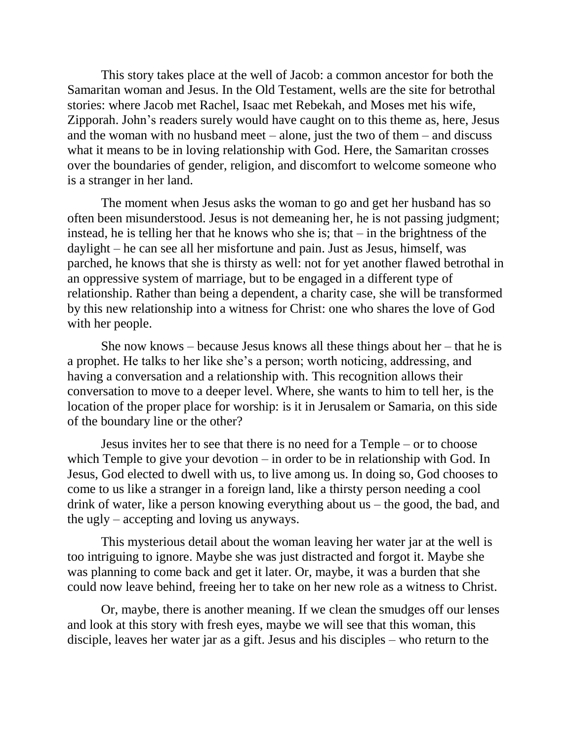This story takes place at the well of Jacob: a common ancestor for both the Samaritan woman and Jesus. In the Old Testament, wells are the site for betrothal stories: where Jacob met Rachel, Isaac met Rebekah, and Moses met his wife, Zipporah. John's readers surely would have caught on to this theme as, here, Jesus and the woman with no husband meet – alone, just the two of them – and discuss what it means to be in loving relationship with God. Here, the Samaritan crosses over the boundaries of gender, religion, and discomfort to welcome someone who is a stranger in her land.

The moment when Jesus asks the woman to go and get her husband has so often been misunderstood. Jesus is not demeaning her, he is not passing judgment; instead, he is telling her that he knows who she is; that – in the brightness of the daylight – he can see all her misfortune and pain. Just as Jesus, himself, was parched, he knows that she is thirsty as well: not for yet another flawed betrothal in an oppressive system of marriage, but to be engaged in a different type of relationship. Rather than being a dependent, a charity case, she will be transformed by this new relationship into a witness for Christ: one who shares the love of God with her people.

She now knows – because Jesus knows all these things about her – that he is a prophet. He talks to her like she's a person; worth noticing, addressing, and having a conversation and a relationship with. This recognition allows their conversation to move to a deeper level. Where, she wants to him to tell her, is the location of the proper place for worship: is it in Jerusalem or Samaria, on this side of the boundary line or the other?

Jesus invites her to see that there is no need for a Temple – or to choose which Temple to give your devotion – in order to be in relationship with God. In Jesus, God elected to dwell with us, to live among us. In doing so, God chooses to come to us like a stranger in a foreign land, like a thirsty person needing a cool drink of water, like a person knowing everything about us – the good, the bad, and the ugly – accepting and loving us anyways.

This mysterious detail about the woman leaving her water jar at the well is too intriguing to ignore. Maybe she was just distracted and forgot it. Maybe she was planning to come back and get it later. Or, maybe, it was a burden that she could now leave behind, freeing her to take on her new role as a witness to Christ.

Or, maybe, there is another meaning. If we clean the smudges off our lenses and look at this story with fresh eyes, maybe we will see that this woman, this disciple, leaves her water jar as a gift. Jesus and his disciples – who return to the